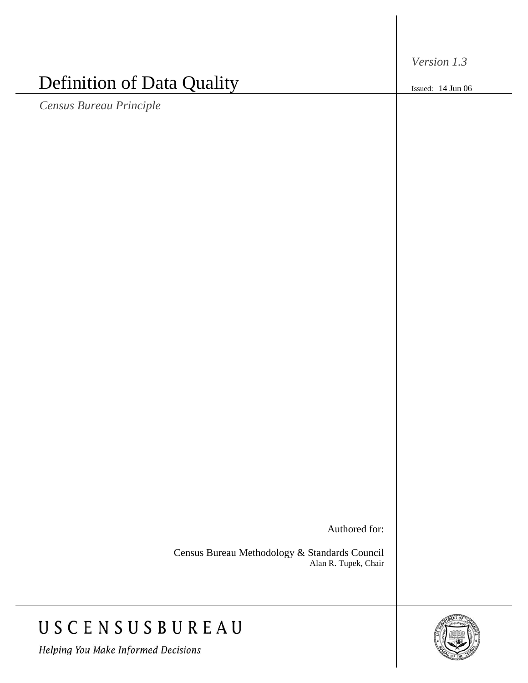*Version 1.3*

Issued: 14 Jun 06

# Definition of Data Quality

*Census Bureau Principle*

Authored for:

Census Bureau Methodology & Standards Council Alan R. Tupek, Chair

## USCENSUSBUREAU

Helping You Make Informed Decisions

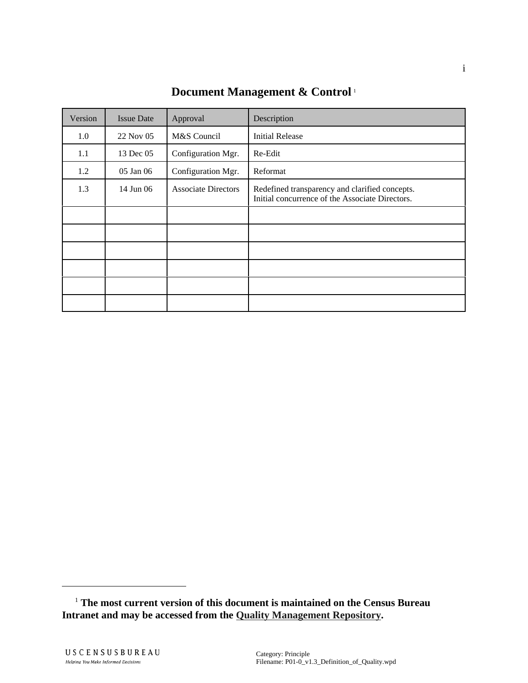| Version | <b>Issue Date</b> | Approval                   | Description                                                                                       |
|---------|-------------------|----------------------------|---------------------------------------------------------------------------------------------------|
| 1.0     | 22 Nov 05         | M&S Council                | <b>Initial Release</b>                                                                            |
| 1.1     | 13 Dec 05         | Configuration Mgr.         | Re-Edit                                                                                           |
| 1.2     | 05 Jan 06         | Configuration Mgr.         | Reformat                                                                                          |
| 1.3     | 14 Jun 06         | <b>Associate Directors</b> | Redefined transparency and clarified concepts.<br>Initial concurrence of the Associate Directors. |
|         |                   |                            |                                                                                                   |
|         |                   |                            |                                                                                                   |
|         |                   |                            |                                                                                                   |
|         |                   |                            |                                                                                                   |
|         |                   |                            |                                                                                                   |
|         |                   |                            |                                                                                                   |

**Document Management & Control** <sup>1</sup>

 <sup>1</sup> **The most current version of this document is maintained on the Census Bureau Intranet and may be accessed from the Quality Management Repository.**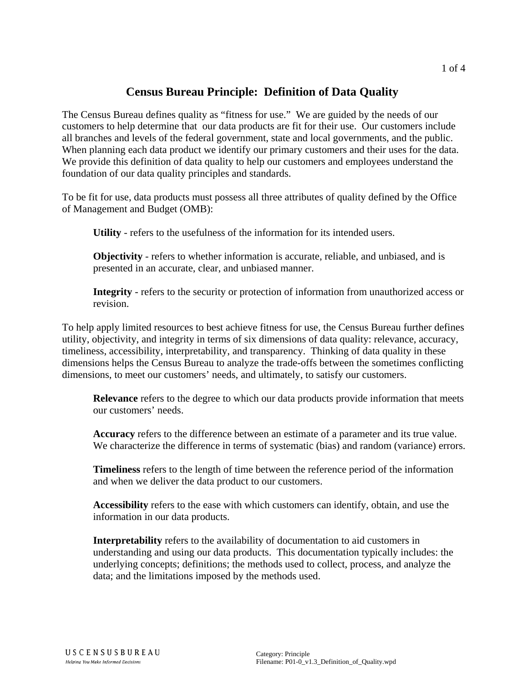### **Census Bureau Principle: Definition of Data Quality**

The Census Bureau defines quality as "fitness for use." We are guided by the needs of our customers to help determine that our data products are fit for their use. Our customers include all branches and levels of the federal government, state and local governments, and the public. When planning each data product we identify our primary customers and their uses for the data. We provide this definition of data quality to help our customers and employees understand the foundation of our data quality principles and standards.

To be fit for use, data products must possess all three attributes of quality defined by the Office of Management and Budget (OMB):

**Utility** - refers to the usefulness of the information for its intended users.

**Objectivity** - refers to whether information is accurate, reliable, and unbiased, and is presented in an accurate, clear, and unbiased manner.

**Integrity** - refers to the security or protection of information from unauthorized access or revision.

To help apply limited resources to best achieve fitness for use, the Census Bureau further defines utility, objectivity, and integrity in terms of six dimensions of data quality: relevance, accuracy, timeliness, accessibility, interpretability, and transparency. Thinking of data quality in these dimensions helps the Census Bureau to analyze the trade-offs between the sometimes conflicting dimensions, to meet our customers' needs, and ultimately, to satisfy our customers.

**Relevance** refers to the degree to which our data products provide information that meets our customers' needs.

**Accuracy** refers to the difference between an estimate of a parameter and its true value. We characterize the difference in terms of systematic (bias) and random (variance) errors.

**Timeliness** refers to the length of time between the reference period of the information and when we deliver the data product to our customers.

**Accessibility** refers to the ease with which customers can identify, obtain, and use the information in our data products.

**Interpretability** refers to the availability of documentation to aid customers in understanding and using our data products. This documentation typically includes: the underlying concepts; definitions; the methods used to collect, process, and analyze the data; and the limitations imposed by the methods used.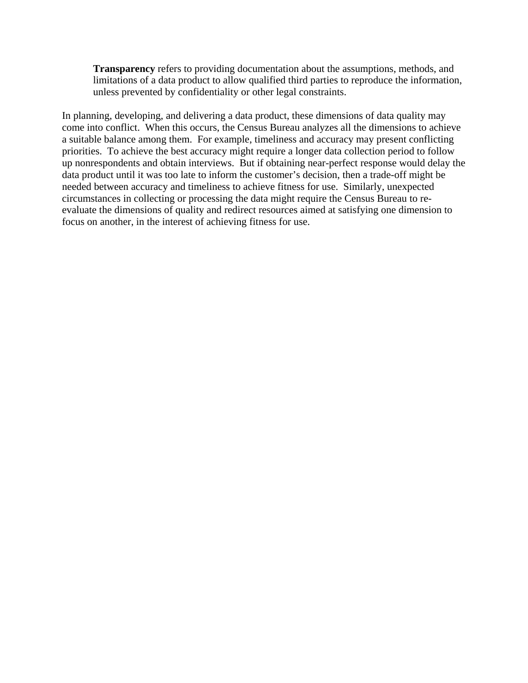**Transparency** refers to providing documentation about the assumptions, methods, and limitations of a data product to allow qualified third parties to reproduce the information, unless prevented by confidentiality or other legal constraints.

In planning, developing, and delivering a data product, these dimensions of data quality may come into conflict. When this occurs, the Census Bureau analyzes all the dimensions to achieve a suitable balance among them. For example, timeliness and accuracy may present conflicting priorities. To achieve the best accuracy might require a longer data collection period to follow up nonrespondents and obtain interviews. But if obtaining near-perfect response would delay the data product until it was too late to inform the customer's decision, then a trade-off might be needed between accuracy and timeliness to achieve fitness for use. Similarly, unexpected circumstances in collecting or processing the data might require the Census Bureau to reevaluate the dimensions of quality and redirect resources aimed at satisfying one dimension to focus on another, in the interest of achieving fitness for use.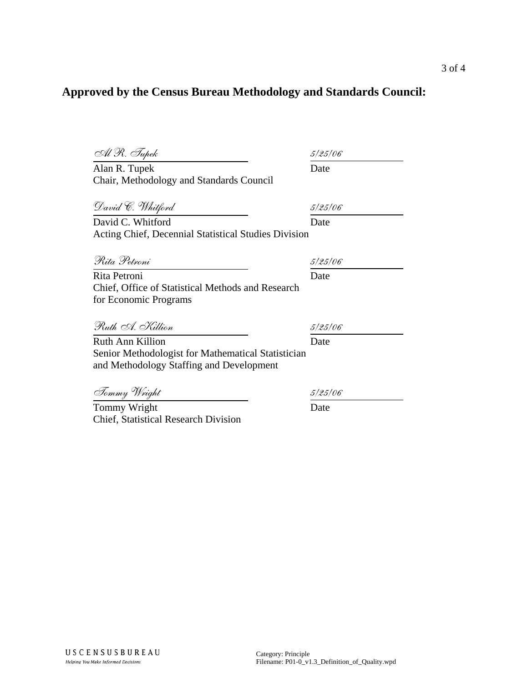### **Approved by the Census Bureau Methodology and Standards Council:**

| Al R. Tupek                                                                                    | 5/25/06 |
|------------------------------------------------------------------------------------------------|---------|
| Alan R. Tupek                                                                                  | Date    |
| Chair, Methodology and Standards Council                                                       |         |
| David C. Whitford                                                                              | 5/25/06 |
| David C. Whitford                                                                              | Date    |
| Acting Chief, Decennial Statistical Studies Division                                           |         |
| Rita Petroni                                                                                   | 5/25/06 |
| Rita Petroni                                                                                   | Date    |
| Chief, Office of Statistical Methods and Research<br>for Economic Programs                     |         |
| Ruth A. Killion                                                                                | 5/25/06 |
| <b>Ruth Ann Killion</b>                                                                        | Date    |
| Senior Methodologist for Mathematical Statistician<br>and Methodology Staffing and Development |         |
| Tommy Wright                                                                                   | 5/25/06 |
| Tommy Wright                                                                                   | Date    |
| <b>Chief, Statistical Research Division</b>                                                    |         |

3 of 4